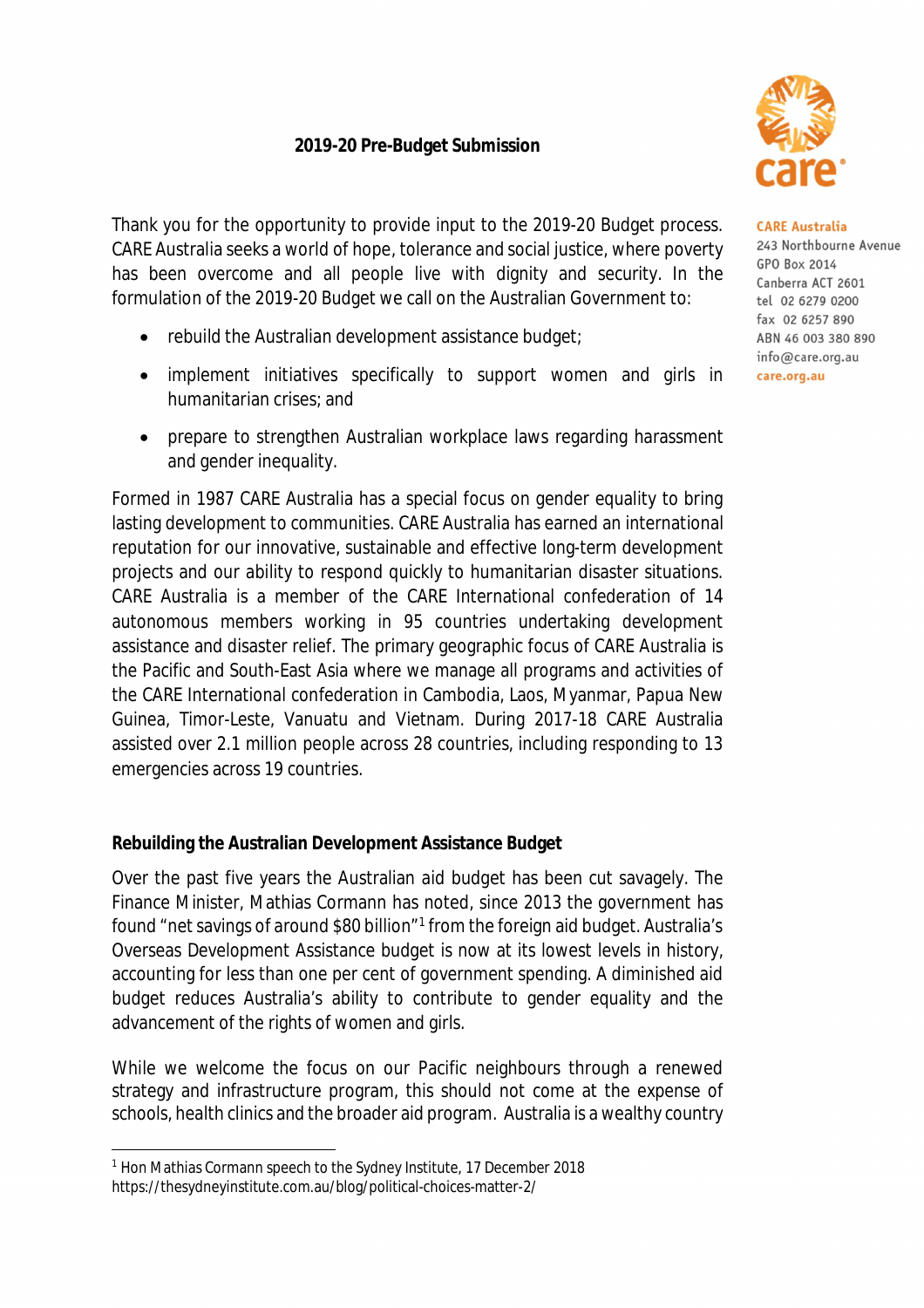# **2019-20 Pre-Budget Submission**

Thank you for the opportunity to provide input to the 2019-20 Budget process. CARE Australia seeks a world of hope, tolerance and social justice, where poverty has been overcome and all people live with dignity and security. In the formulation of the 2019-20 Budget we call on the Australian Government to:

- rebuild the Australian development assistance budget;
- implement initiatives specifically to support women and girls in humanitarian crises; and
- prepare to strengthen Australian workplace laws regarding harassment and gender inequality.

Formed in 1987 CARE Australia has a special focus on gender equality to bring lasting development to communities. CARE Australia has earned an international reputation for our innovative, sustainable and effective long-term development projects and our ability to respond quickly to humanitarian disaster situations. CARE Australia is a member of the CARE International confederation of 14 autonomous members working in 95 countries undertaking development assistance and disaster relief. The primary geographic focus of CARE Australia is the Pacific and South-East Asia where we manage all programs and activities of the CARE International confederation in Cambodia, Laos, Myanmar, Papua New Guinea, Timor-Leste, Vanuatu and Vietnam. During 2017-18 CARE Australia assisted over 2.1 million people across 28 countries, including responding to 13 emergencies across 19 countries.

# **Rebuilding the Australian Development Assistance Budget**

Over the past five years the Australian aid budget has been cut savagely. The Finance Minister, Mathias Cormann has noted, since 2013 the government has found "net savings of around \$80 billion"<sup>1</sup> from the foreign aid budget. Australia's Overseas Development Assistance budget is now at its lowest levels in history, accounting for less than one per cent of government spending. A diminished aid budget reduces Australia's ability to contribute to gender equality and the advancement of the rights of women and girls.

While we welcome the focus on our Pacific neighbours through a renewed strategy and infrastructure program, this should not come at the expense of schools, health clinics and the broader aid program. Australia is a wealthy country



#### **CARE Australia**

243 Northbourne Avenue GPO Box 2014 Canberra ACT 2601 tel 02 6279 0200 fax 02 6257 890 ABN 46 003 380 890 info@care.org.au care.org.au

 $\overline{a}$ <sup>1</sup> Hon Mathias Cormann speech to the Sydney Institute, 17 December 2018 <https://thesydneyinstitute.com.au/blog/political-choices-matter-2/>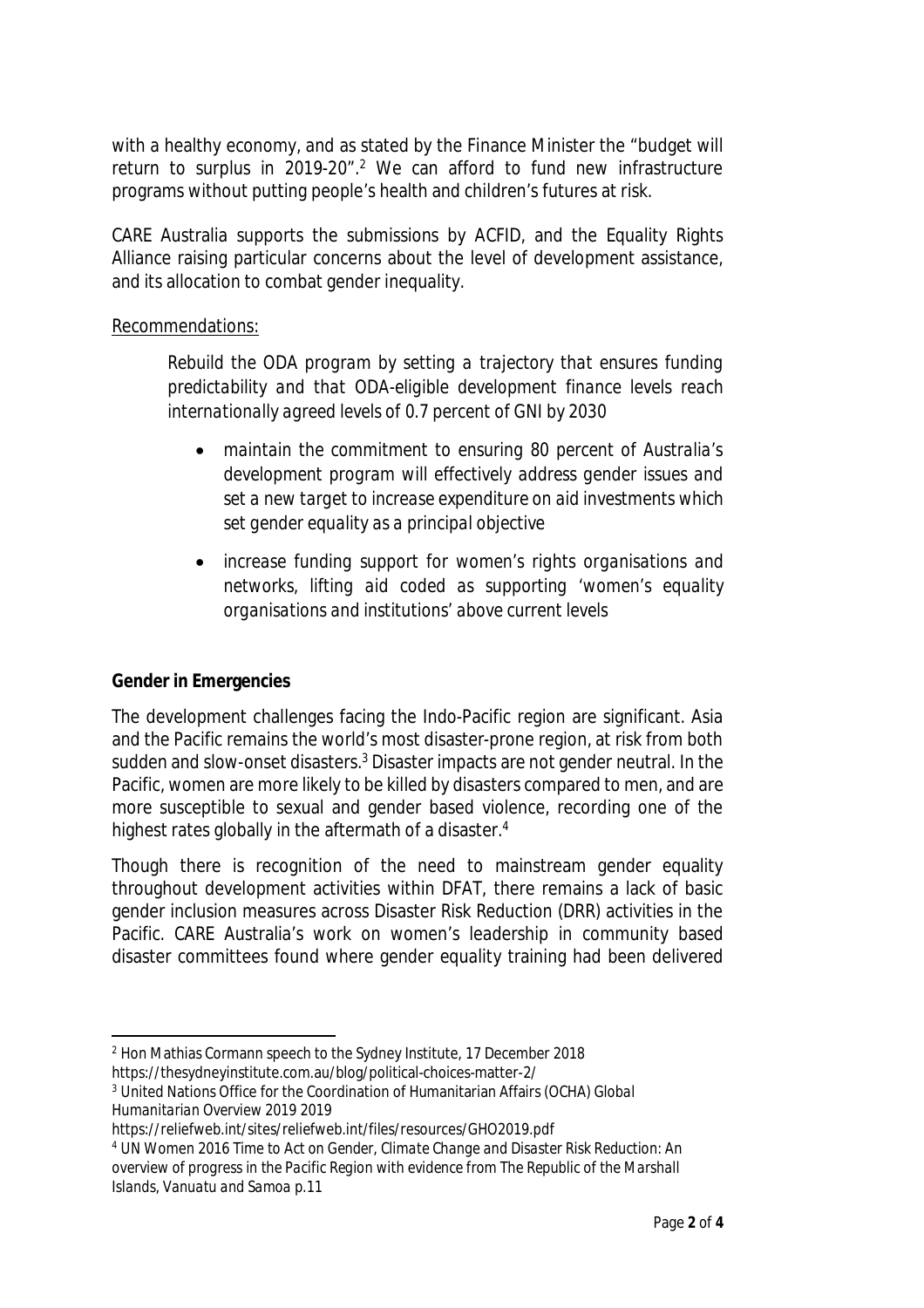with a healthy economy, and as stated by the Finance Minister the "budget will return to surplus in 2019-20". <sup>2</sup> We can afford to fund new infrastructure programs without putting people's health and children's futures at risk.

CARE Australia supports the submissions by ACFID, and the Equality Rights Alliance raising particular concerns about the level of development assistance, and its allocation to combat gender inequality.

#### Recommendations:

*Rebuild the ODA program by setting a trajectory that ensures funding predictability and that ODA-eligible development finance levels reach internationally agreed levels of 0.7 percent of GNI by 2030*

- *maintain the commitment to ensuring 80 percent of Australia's development program will effectively address gender issues and set a new target to increase expenditure on aid investments which set gender equality as a principal objective*
- *increase funding support for women's rights organisations and networks, lifting aid coded as supporting 'women's equality organisations and institutions' above current levels*

# **Gender in Emergencies**

The development challenges facing the Indo-Pacific region are significant. Asia and the Pacific remains the world's most disaster-prone region, at risk from both sudden and slow-onset disasters.<sup>3</sup> Disaster impacts are not gender neutral. In the Pacific, women are more likely to be killed by disasters compared to men, and are more susceptible to sexual and gender based violence, recording one of the highest rates globally in the aftermath of a disaster.<sup>4</sup>

Though there is recognition of the need to mainstream gender equality throughout development activities within DFAT, there remains a lack of basic gender inclusion measures across Disaster Risk Reduction (DRR) activities in the Pacific. CARE Australia's work on women's leadership in community based disaster committees found where gender equality training had been delivered

- $\overline{a}$ <sup>2</sup> Hon Mathias Cormann speech to the Sydney Institute, 17 December 2018
- <https://thesydneyinstitute.com.au/blog/political-choices-matter-2/>

<sup>3</sup> United Nations Office for the Coordination of Humanitarian Affairs (OCHA) *Global Humanitarian Overview 2019* 2019

<https://reliefweb.int/sites/reliefweb.int/files/resources/GHO2019.pdf>

<sup>4</sup> UN Women 2016 *Time to Act on Gender, Climate Change and Disaster Risk Reduction: An overview of progress in the Pacific Region with evidence from The Republic of the Marshall Islands, Vanuatu and Samoa* p.11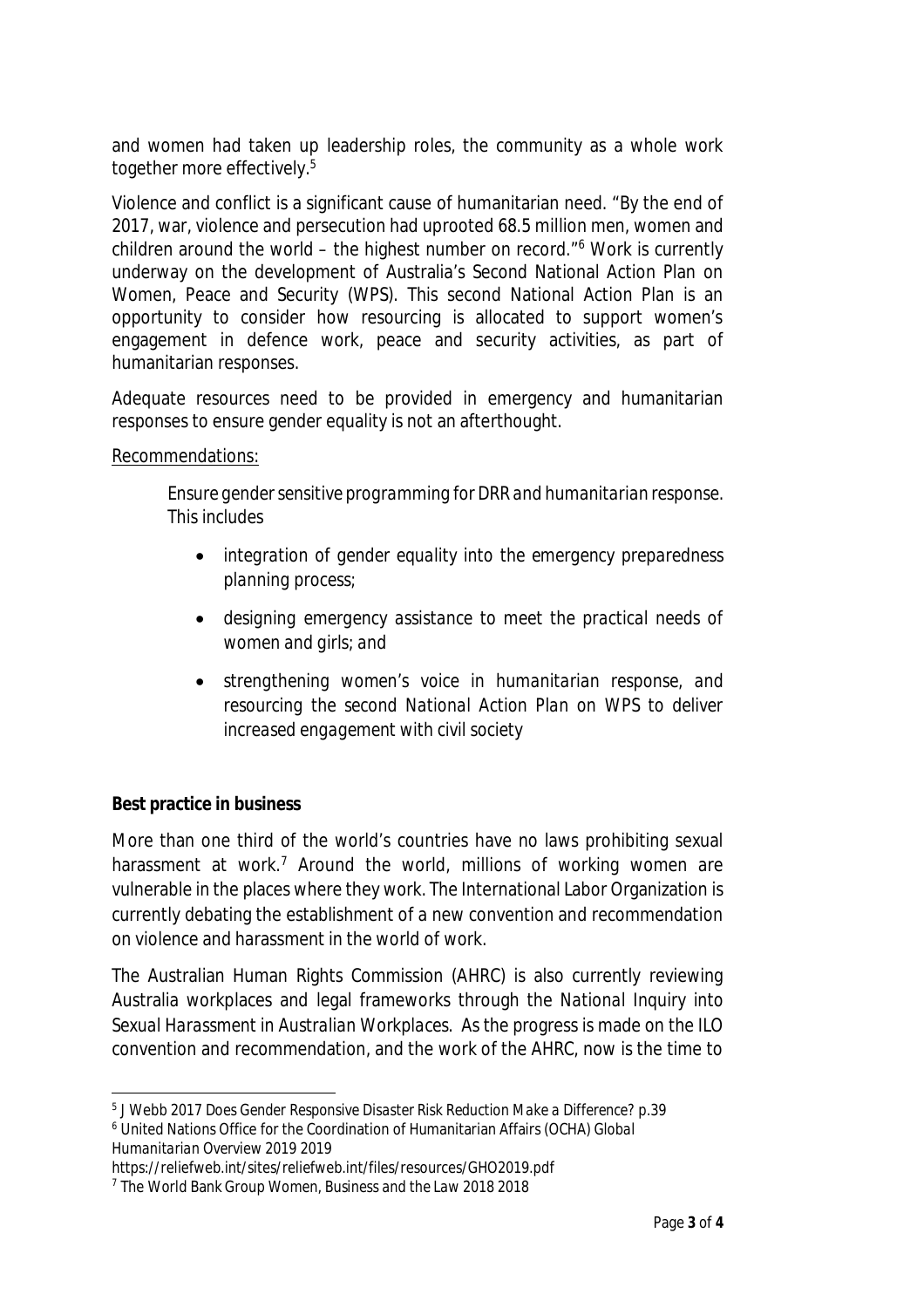and women had taken up leadership roles, the community as a whole work together more effectively.<sup>5</sup>

Violence and conflict is a significant cause of humanitarian need. "By the end of 2017, war, violence and persecution had uprooted 68.5 million men, women and children around the world – the highest number on record." <sup>6</sup> Work is currently underway on the development of Australia's Second National Action Plan on Women, Peace and Security (WPS). This second National Action Plan is an opportunity to consider how resourcing is allocated to support women's engagement in defence work, peace and security activities, as part of humanitarian responses.

Adequate resources need to be provided in emergency and humanitarian responses to ensure gender equality is not an afterthought.

# Recommendations:

*Ensure gender sensitive programming for DRR and humanitarian response. This includes*

- *integration of gender equality into the emergency preparedness planning process;*
- *designing emergency assistance to meet the practical needs of women and girls; and*
- *strengthening women's voice in humanitarian response, and resourcing the second National Action Plan on WPS to deliver increased engagement with civil society*

# **Best practice in business**

More than one third of the world's countries have no laws prohibiting sexual harassment at work.<sup>7</sup> Around the world, millions of working women are vulnerable in the places where they work. The International Labor Organization is currently debating the establishment of a new convention and recommendation on violence and harassment in the world of work.

The Australian Human Rights Commission (AHRC) is also currently reviewing Australia workplaces and legal frameworks through the *National Inquiry into Sexual Harassment in Australian Workplaces*. As the progress is made on the ILO convention and recommendation, and the work of the AHRC, now is the time to

 $\overline{a}$ 5 J Webb 2017 *Does Gender Responsive Disaster Risk Reduction Make a Difference?* p.39

<sup>6</sup> United Nations Office for the Coordination of Humanitarian Affairs (OCHA) *Global Humanitarian Overview 2019* 2019

<https://reliefweb.int/sites/reliefweb.int/files/resources/GHO2019.pdf>

<sup>7</sup> The World Bank Group *Women, Business and the Law 2018* 2018